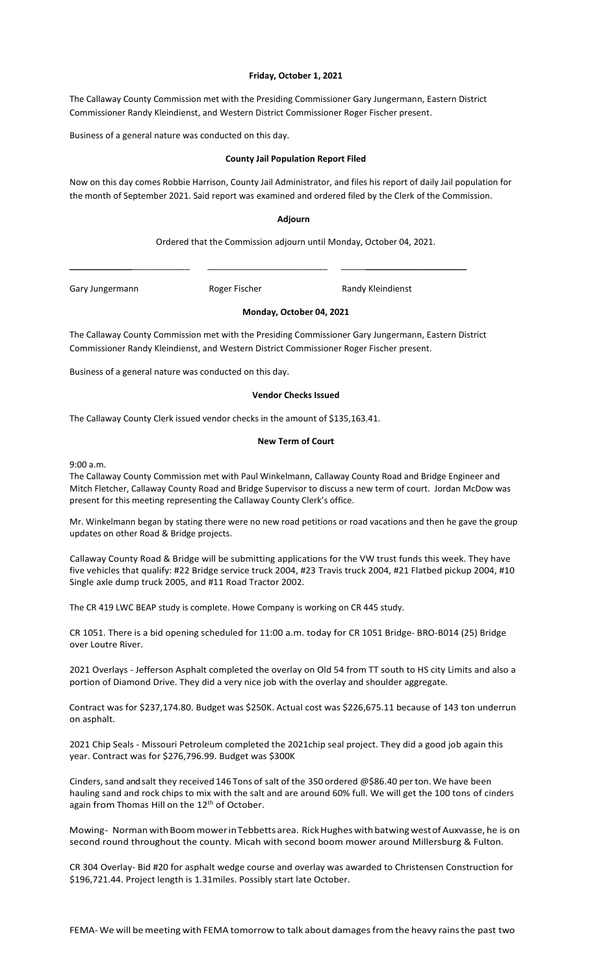#### **Friday, October 1, 2021**

The Callaway County Commission met with the Presiding Commissioner Gary Jungermann, Eastern District Commissioner Randy Kleindienst, and Western District Commissioner Roger Fischer present.

Business of a general nature was conducted on this day.

#### **County Jail Population Report Filed**

Now on this day comes Robbie Harrison, County Jail Administrator, and files his report of daily Jail population for the month of September 2021. Said report was examined and ordered filed by the Clerk of the Commission.

#### **Adjourn**

Ordered that the Commission adjourn until Monday, October 04, 2021.

\_\_\_\_\_\_\_\_\_\_\_\_\_\_\_\_\_\_\_\_\_\_\_\_\_ \_\_\_\_\_\_\_\_\_\_\_\_\_\_\_\_\_\_\_\_\_\_\_\_\_ \_\_\_\_\_\_\_\_\_\_\_\_\_\_\_\_\_\_\_\_\_\_\_\_\_\_

Gary Jungermann **Roger Fischer** Randy Kleindienst

# **Monday, October 04, 2021**

The Callaway County Commission met with the Presiding Commissioner Gary Jungermann, Eastern District Commissioner Randy Kleindienst, and Western District Commissioner Roger Fischer present.

Business of a general nature was conducted on this day.

#### **Vendor Checks Issued**

The Callaway County Clerk issued vendor checks in the amount of \$135,163.41.

#### **New Term of Court**

9:00 a.m.

The Callaway County Commission met with Paul Winkelmann, Callaway County Road and Bridge Engineer and Mitch Fletcher, Callaway County Road and Bridge Supervisor to discuss a new term of court. Jordan McDow was present for this meeting representing the Callaway County Clerk's office.

Mr. Winkelmann began by stating there were no new road petitions or road vacations and then he gave the group updates on other Road & Bridge projects.

Callaway County Road & Bridge will be submitting applications for the VW trust funds this week. They have five vehicles that qualify: #22 Bridge service truck 2004, #23 Travis truck 2004, #21 Flatbed pickup 2004, #10 Single axle dump truck 2005, and #11 Road Tractor 2002.

The CR 419 LWC BEAP study is complete. Howe Company is working on CR 445 study.

CR 1051. There is a bid opening scheduled for 11:00 a.m. today for CR 1051 Bridge- BRO-B014 (25) Bridge over Loutre River.

2021 Overlays - Jefferson Asphalt completed the overlay on Old 54 from TT south to HS city Limits and also a portion of Diamond Drive. They did a very nice job with the overlay and shoulder aggregate.

Contract was for \$237,174.80. Budget was \$250K. Actual cost was \$226,675.11 because of 143 ton underrun on asphalt.

2021 Chip Seals - Missouri Petroleum completed the 2021chip seal project. They did a good job again this year. Contract was for \$276,796.99. Budget was \$300K

Cinders, sand and salt they received 146 Tons of salt of the 350 ordered @\$86.40 per ton. We have been hauling sand and rock chips to mix with the salt and are around 60% full. We will get the 100 tons of cinders again from Thomas Hill on the 12<sup>th</sup> of October.

Mowing- Norman with Boom mower in Tebbetts area. Rick Hughes with batwing west of Auxvasse, he is on second round throughout the county. Micah with second boom mower around Millersburg & Fulton.

CR 304 Overlay- Bid #20 for asphalt wedge course and overlay was awarded to Christensen Construction for \$196,721.44. Project length is 1.31miles. Possibly start late October.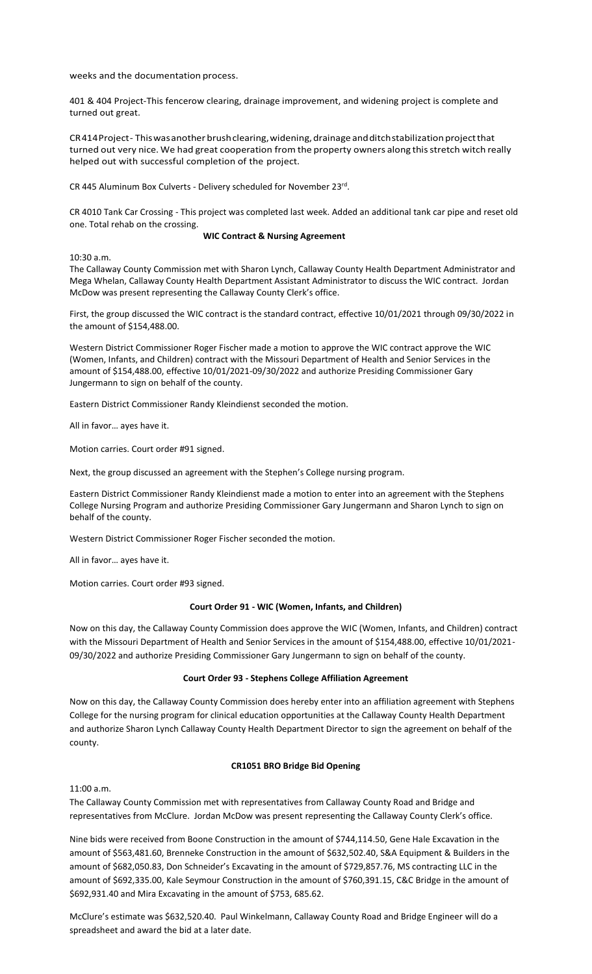weeks and the documentation process.

401 & 404 Project-This fencerow clearing, drainage improvement, and widening project is complete and turned out great.

CR414 Project - This was another brush clearing, widening, drainage and ditch stabilization project that turned out very nice. We had great cooperation from the property owners along this stretch witch really helped out with successful completion of the project.

CR 445 Aluminum Box Culverts - Delivery scheduled for November 23rd.

CR 4010 Tank Car Crossing - This project was completed last week. Added an additional tank car pipe and reset old one. Total rehab on the crossing.

#### **WIC Contract & Nursing Agreement**

10:30 a.m.

The Callaway County Commission met with Sharon Lynch, Callaway County Health Department Administrator and Mega Whelan, Callaway County Health Department Assistant Administrator to discuss the WIC contract. Jordan McDow was present representing the Callaway County Clerk's office.

First, the group discussed the WIC contract is the standard contract, effective 10/01/2021 through 09/30/2022 in the amount of \$154,488.00.

Western District Commissioner Roger Fischer made a motion to approve the WIC contract approve the WIC (Women, Infants, and Children) contract with the Missouri Department of Health and Senior Services in the amount of \$154,488.00, effective 10/01/2021-09/30/2022 and authorize Presiding Commissioner Gary Jungermann to sign on behalf of the county.

Eastern District Commissioner Randy Kleindienst seconded the motion.

All in favor… ayes have it.

Motion carries. Court order #91 signed.

Next, the group discussed an agreement with the Stephen's College nursing program.

Eastern District Commissioner Randy Kleindienst made a motion to enter into an agreement with the Stephens College Nursing Program and authorize Presiding Commissioner Gary Jungermann and Sharon Lynch to sign on behalf of the county.

Western District Commissioner Roger Fischer seconded the motion.

All in favor… ayes have it.

Motion carries. Court order #93 signed.

#### **Court Order 91 - WIC (Women, Infants, and Children)**

Now on this day, the Callaway County Commission does approve the WIC (Women, Infants, and Children) contract with the Missouri Department of Health and Senior Services in the amount of \$154,488.00, effective 10/01/2021- 09/30/2022 and authorize Presiding Commissioner Gary Jungermann to sign on behalf of the county.

# **Court Order 93 - Stephens College Affiliation Agreement**

Now on this day, the Callaway County Commission does hereby enter into an affiliation agreement with Stephens College for the nursing program for clinical education opportunities at the Callaway County Health Department and authorize Sharon Lynch Callaway County Health Department Director to sign the agreement on behalf of the county.

# **CR1051 BRO Bridge Bid Opening**

11:00 a.m.

The Callaway County Commission met with representatives from Callaway County Road and Bridge and representatives from McClure. Jordan McDow was present representing the Callaway County Clerk's office.

Nine bids were received from Boone Construction in the amount of \$744,114.50, Gene Hale Excavation in the amount of \$563,481.60, Brenneke Construction in the amount of \$632,502.40, S&A Equipment & Builders in the amount of \$682,050.83, Don Schneider's Excavating in the amount of \$729,857.76, MS contracting LLC in the amount of \$692,335.00, Kale Seymour Construction in the amount of \$760,391.15, C&C Bridge in the amount of \$692,931.40 and Mira Excavating in the amount of \$753, 685.62.

McClure's estimate was \$632,520.40. Paul Winkelmann, Callaway County Road and Bridge Engineer will do a spreadsheet and award the bid at a later date.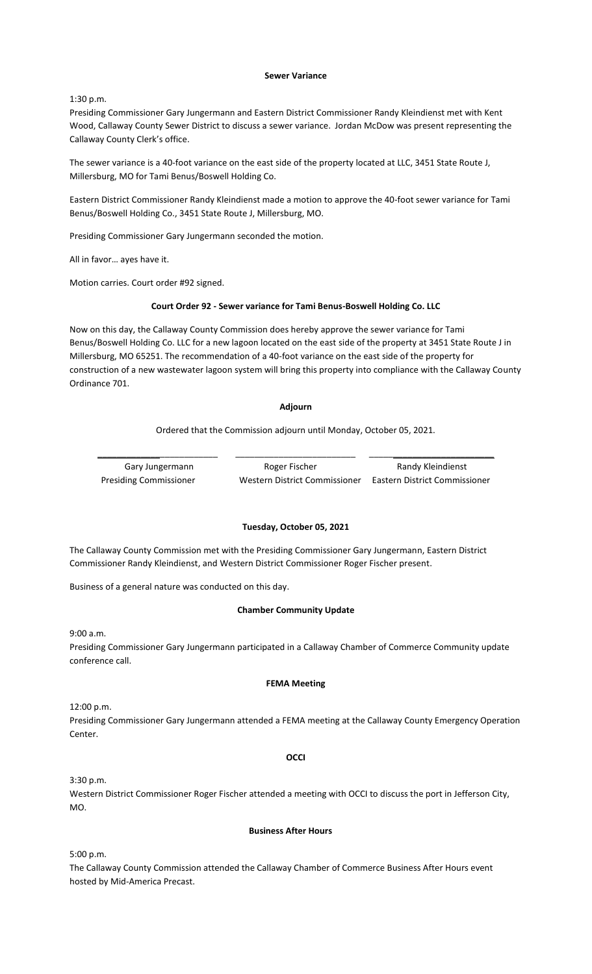#### **Sewer Variance**

1:30 p.m.

Presiding Commissioner Gary Jungermann and Eastern District Commissioner Randy Kleindienst met with Kent Wood, Callaway County Sewer District to discuss a sewer variance. Jordan McDow was present representing the Callaway County Clerk's office.

The sewer variance is a 40-foot variance on the east side of the property located at LLC, 3451 State Route J, Millersburg, MO for Tami Benus/Boswell Holding Co.

Eastern District Commissioner Randy Kleindienst made a motion to approve the 40-foot sewer variance for Tami Benus/Boswell Holding Co., 3451 State Route J, Millersburg, MO.

Presiding Commissioner Gary Jungermann seconded the motion.

All in favor… ayes have it.

Motion carries. Court order #92 signed.

#### **Court Order 92 - Sewer variance for Tami Benus-Boswell Holding Co. LLC**

Now on this day, the Callaway County Commission does hereby approve the sewer variance for Tami Benus/Boswell Holding Co. LLC for a new lagoon located on the east side of the property at 3451 State Route J in Millersburg, MO 65251. The recommendation of a 40-foot variance on the east side of the property for construction of a new wastewater lagoon system will bring this property into compliance with the Callaway County Ordinance 701.

#### **Adjourn**

#### Ordered that the Commission adjourn until Monday, October 05, 2021.

\_\_\_\_\_\_\_\_\_\_\_\_\_\_\_\_\_\_\_\_\_\_\_\_\_ \_\_\_\_\_\_\_\_\_\_\_\_\_\_\_\_\_\_\_\_\_\_\_\_\_ \_\_\_\_\_\_\_\_\_\_\_\_\_\_\_\_\_\_\_\_\_\_\_\_\_\_

Gary Jungermann **Roger Fischer** Randy Kleindienst Presiding Commissioner Western District Commissioner Eastern District Commissioner

#### **Tuesday, October 05, 2021**

The Callaway County Commission met with the Presiding Commissioner Gary Jungermann, Eastern District Commissioner Randy Kleindienst, and Western District Commissioner Roger Fischer present.

Business of a general nature was conducted on this day.

#### **Chamber Community Update**

9:00 a.m.

Presiding Commissioner Gary Jungermann participated in a Callaway Chamber of Commerce Community update conference call.

#### **FEMA Meeting**

12:00 p.m.

Presiding Commissioner Gary Jungermann attended a FEMA meeting at the Callaway County Emergency Operation Center.

#### **OCCI**

3:30 p.m.

Western District Commissioner Roger Fischer attended a meeting with OCCI to discuss the port in Jefferson City, MO.

#### **Business After Hours**

5:00 p.m.

The Callaway County Commission attended the Callaway Chamber of Commerce Business After Hours event hosted by Mid-America Precast.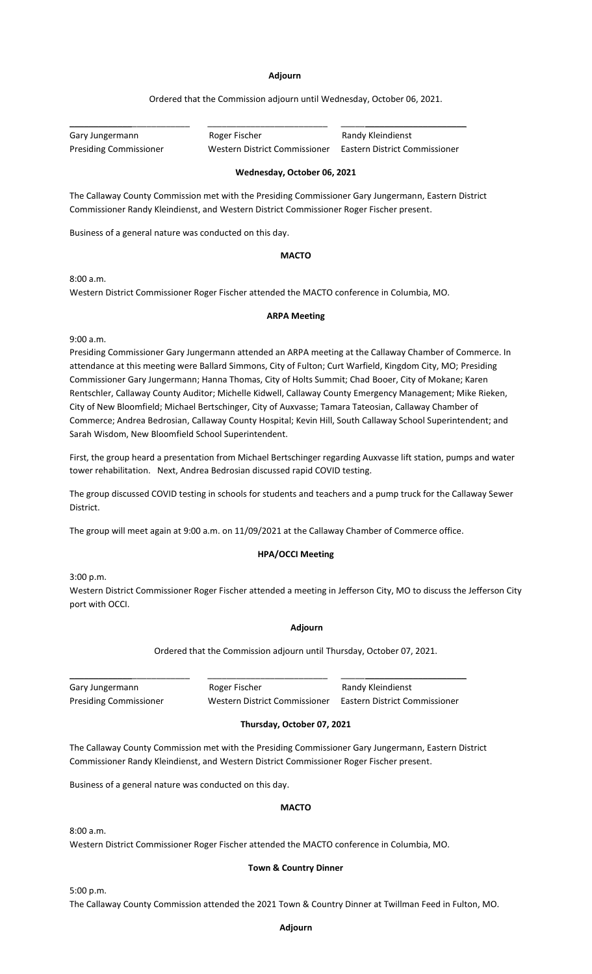#### **Adjourn**

Ordered that the Commission adjourn until Wednesday, October 06, 2021.

Gary Jungermann **Roger Fischer** Randy Kleindienst

\_\_\_\_\_\_\_\_\_\_\_\_\_\_\_\_\_\_\_\_\_\_\_\_\_ \_\_\_\_\_\_\_\_\_\_\_\_\_\_\_\_\_\_\_\_\_\_\_\_\_ \_\_\_\_\_\_\_\_\_\_\_\_\_\_\_\_\_\_\_\_\_\_\_\_\_\_

Presiding Commissioner Western District Commissioner Eastern District Commissioner

# **Wednesday, October 06, 2021**

The Callaway County Commission met with the Presiding Commissioner Gary Jungermann, Eastern District Commissioner Randy Kleindienst, and Western District Commissioner Roger Fischer present.

Business of a general nature was conducted on this day.

#### **MACTO**

8:00 a.m.

Western District Commissioner Roger Fischer attended the MACTO conference in Columbia, MO.

## **ARPA Meeting**

9:00 a.m.

Presiding Commissioner Gary Jungermann attended an ARPA meeting at the Callaway Chamber of Commerce. In attendance at this meeting were Ballard Simmons, City of Fulton; Curt Warfield, Kingdom City, MO; Presiding Commissioner Gary Jungermann; Hanna Thomas, City of Holts Summit; Chad Booer, City of Mokane; Karen Rentschler, Callaway County Auditor; Michelle Kidwell, Callaway County Emergency Management; Mike Rieken, City of New Bloomfield; Michael Bertschinger, City of Auxvasse; Tamara Tateosian, Callaway Chamber of Commerce; Andrea Bedrosian, Callaway County Hospital; Kevin Hill, South Callaway School Superintendent; and Sarah Wisdom, New Bloomfield School Superintendent.

First, the group heard a presentation from Michael Bertschinger regarding Auxvasse lift station, pumps and water tower rehabilitation. Next, Andrea Bedrosian discussed rapid COVID testing.

The group discussed COVID testing in schools for students and teachers and a pump truck for the Callaway Sewer District.

The group will meet again at 9:00 a.m. on 11/09/2021 at the Callaway Chamber of Commerce office.

## **HPA/OCCI Meeting**

3:00 p.m.

Western District Commissioner Roger Fischer attended a meeting in Jefferson City, MO to discuss the Jefferson City port with OCCI.

# **Adjourn**

Ordered that the Commission adjourn until Thursday, October 07, 2021.

Gary Jungermann **Roger Fischer** Rower Randy Kleindienst Presiding Commissioner Western District Commissioner Eastern District Commissioner

\_\_\_\_\_\_\_\_\_\_\_\_\_\_\_\_\_\_\_\_\_\_\_\_\_ \_\_\_\_\_\_\_\_\_\_\_\_\_\_\_\_\_\_\_\_\_\_\_\_\_ \_\_\_\_\_\_\_\_\_\_\_\_\_\_\_\_\_\_\_\_\_\_\_\_\_\_

# **Thursday, October 07, 2021**

The Callaway County Commission met with the Presiding Commissioner Gary Jungermann, Eastern District Commissioner Randy Kleindienst, and Western District Commissioner Roger Fischer present.

Business of a general nature was conducted on this day.

## **MACTO**

8:00 a.m.

Western District Commissioner Roger Fischer attended the MACTO conference in Columbia, MO.

## **Town & Country Dinner**

5:00 p.m. The Callaway County Commission attended the 2021 Town & Country Dinner at Twillman Feed in Fulton, MO.

#### **Adjourn**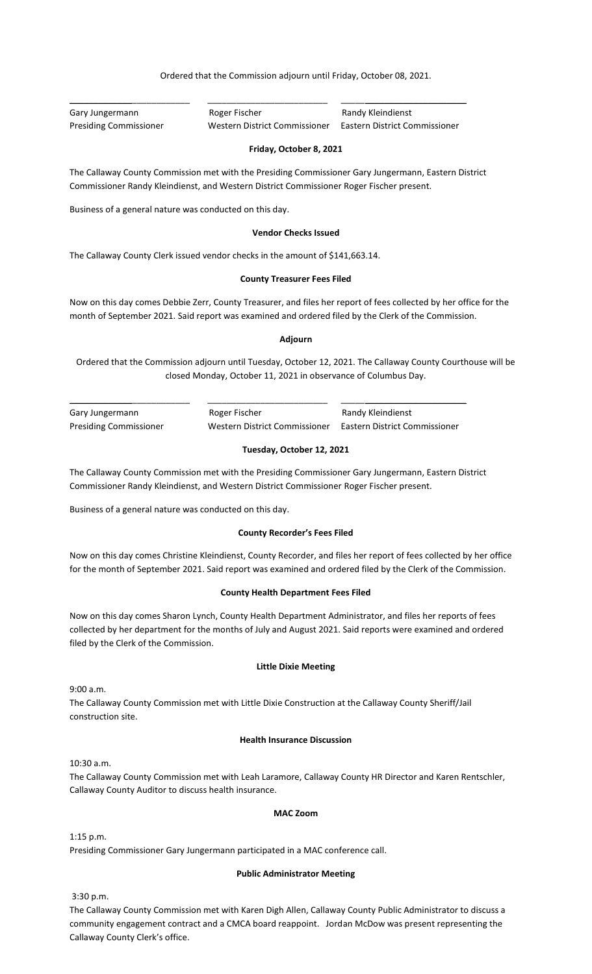Ordered that the Commission adjourn until Friday, October 08, 2021.

| Gary Jungermann               | Roger Fischer                 | Randy Kleindienst             |
|-------------------------------|-------------------------------|-------------------------------|
| <b>Presiding Commissioner</b> | Western District Commissioner | Eastern District Commissioner |

#### **Friday, October 8, 2021**

The Callaway County Commission met with the Presiding Commissioner Gary Jungermann, Eastern District Commissioner Randy Kleindienst, and Western District Commissioner Roger Fischer present.

Business of a general nature was conducted on this day.

#### **Vendor Checks Issued**

The Callaway County Clerk issued vendor checks in the amount of \$141,663.14.

#### **County Treasurer Fees Filed**

Now on this day comes Debbie Zerr, County Treasurer, and files her report of fees collected by her office for the month of September 2021. Said report was examined and ordered filed by the Clerk of the Commission.

#### **Adjourn**

Ordered that the Commission adjourn until Tuesday, October 12, 2021. The Callaway County Courthouse will be closed Monday, October 11, 2021 in observance of Columbus Day.

| Gary Jungermann               | Roger Fischer                 | Randy Kleindienst             |
|-------------------------------|-------------------------------|-------------------------------|
| <b>Presiding Commissioner</b> | Western District Commissioner | Eastern District Commissioner |

# **Tuesday, October 12, 2021**

The Callaway County Commission met with the Presiding Commissioner Gary Jungermann, Eastern District Commissioner Randy Kleindienst, and Western District Commissioner Roger Fischer present.

Business of a general nature was conducted on this day.

#### **County Recorder's Fees Filed**

Now on this day comes Christine Kleindienst, County Recorder, and files her report of fees collected by her office for the month of September 2021. Said report was examined and ordered filed by the Clerk of the Commission.

## **County Health Department Fees Filed**

Now on this day comes Sharon Lynch, County Health Department Administrator, and files her reports of fees collected by her department for the months of July and August 2021. Said reports were examined and ordered filed by the Clerk of the Commission.

#### **Little Dixie Meeting**

9:00 a.m.

The Callaway County Commission met with Little Dixie Construction at the Callaway County Sheriff/Jail construction site.

#### **Health Insurance Discussion**

10:30 a.m.

The Callaway County Commission met with Leah Laramore, Callaway County HR Director and Karen Rentschler, Callaway County Auditor to discuss health insurance.

#### **MAC Zoom**

1:15 p.m.

Presiding Commissioner Gary Jungermann participated in a MAC conference call.

#### **Public Administrator Meeting**

3:30 p.m.

The Callaway County Commission met with Karen Digh Allen, Callaway County Public Administrator to discuss a community engagement contract and a CMCA board reappoint. Jordan McDow was present representing the Callaway County Clerk's office.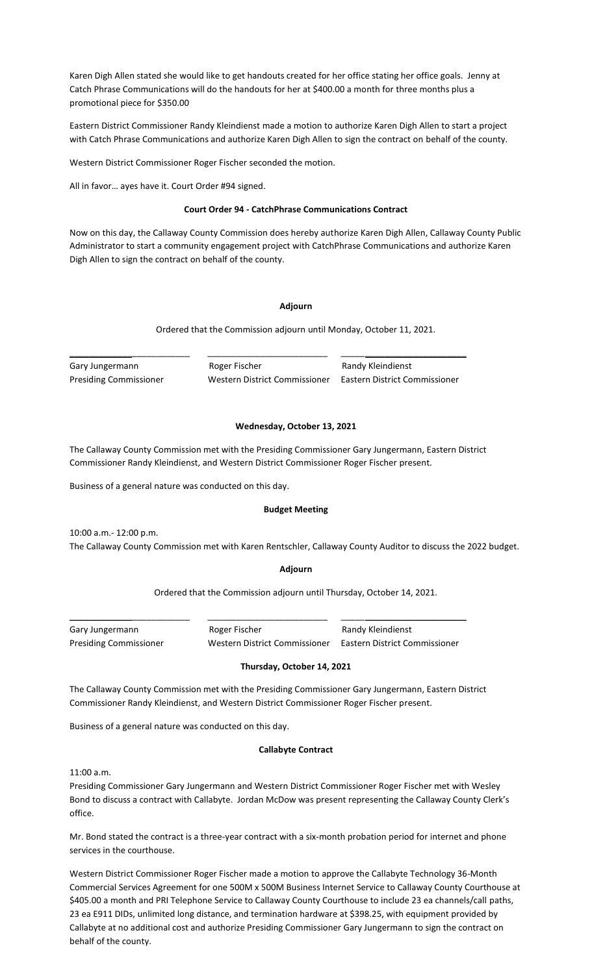Karen Digh Allen stated she would like to get handouts created for her office stating her office goals. Jenny at Catch Phrase Communications will do the handouts for her at \$400.00 a month for three months plus a promotional piece for \$350.00

Eastern District Commissioner Randy Kleindienst made a motion to authorize Karen Digh Allen to start a project with Catch Phrase Communications and authorize Karen Digh Allen to sign the contract on behalf of the county.

Western District Commissioner Roger Fischer seconded the motion.

All in favor… ayes have it. Court Order #94 signed.

# **Court Order 94 - CatchPhrase Communications Contract**

Now on this day, the Callaway County Commission does hereby authorize Karen Digh Allen, Callaway County Public Administrator to start a community engagement project with CatchPhrase Communications and authorize Karen Digh Allen to sign the contract on behalf of the county.

# **Adjourn**

Ordered that the Commission adjourn until Monday, October 11, 2021.

Gary Jungermann **Roger Fischer** Randy Kleindienst

\_\_\_\_\_\_\_\_\_\_\_\_\_\_\_\_\_\_\_\_\_\_\_\_\_ \_\_\_\_\_\_\_\_\_\_\_\_\_\_\_\_\_\_\_\_\_\_\_\_\_ \_\_\_\_\_\_\_\_\_\_\_\_\_\_\_\_\_\_\_\_\_\_\_\_\_\_ Presiding Commissioner Western District Commissioner Eastern District Commissioner

## **Wednesday, October 13, 2021**

The Callaway County Commission met with the Presiding Commissioner Gary Jungermann, Eastern District Commissioner Randy Kleindienst, and Western District Commissioner Roger Fischer present.

Business of a general nature was conducted on this day.

#### **Budget Meeting**

10:00 a.m.- 12:00 p.m.

The Callaway County Commission met with Karen Rentschler, Callaway County Auditor to discuss the 2022 budget.

#### **Adjourn**

Ordered that the Commission adjourn until Thursday, October 14, 2021.

Gary Jungermann **Roger Fischer** Randy Kleindienst

\_\_\_\_\_\_\_\_\_\_\_\_\_\_\_\_\_\_\_\_\_\_\_\_\_ \_\_\_\_\_\_\_\_\_\_\_\_\_\_\_\_\_\_\_\_\_\_\_\_\_ \_\_\_\_\_\_\_\_\_\_\_\_\_\_\_\_\_\_\_\_\_\_\_\_\_\_

Presiding Commissioner Western District Commissioner Eastern District Commissioner

#### **Thursday, October 14, 2021**

The Callaway County Commission met with the Presiding Commissioner Gary Jungermann, Eastern District Commissioner Randy Kleindienst, and Western District Commissioner Roger Fischer present.

Business of a general nature was conducted on this day.

#### **Callabyte Contract**

11:00 a.m.

Presiding Commissioner Gary Jungermann and Western District Commissioner Roger Fischer met with Wesley Bond to discuss a contract with Callabyte. Jordan McDow was present representing the Callaway County Clerk's office.

Mr. Bond stated the contract is a three-year contract with a six-month probation period for internet and phone services in the courthouse.

Western District Commissioner Roger Fischer made a motion to approve the Callabyte Technology 36-Month Commercial Services Agreement for one 500M x 500M Business Internet Service to Callaway County Courthouse at \$405.00 a month and PRI Telephone Service to Callaway County Courthouse to include 23 ea channels/call paths, 23 ea E911 DIDs, unlimited long distance, and termination hardware at \$398.25, with equipment provided by Callabyte at no additional cost and authorize Presiding Commissioner Gary Jungermann to sign the contract on behalf of the county.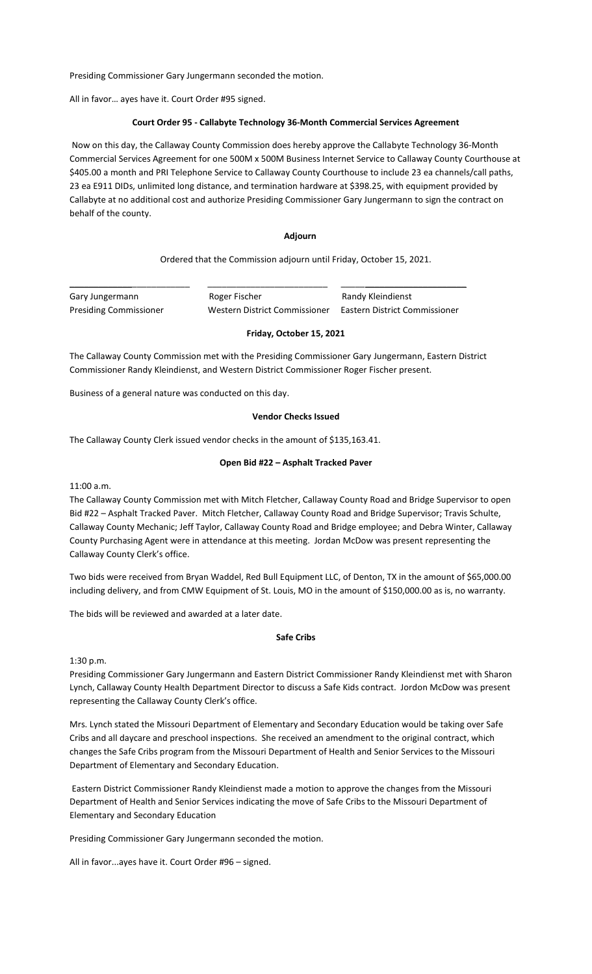Presiding Commissioner Gary Jungermann seconded the motion.

All in favor… ayes have it. Court Order #95 signed.

#### **Court Order 95 - Callabyte Technology 36-Month Commercial Services Agreement**

Now on this day, the Callaway County Commission does hereby approve the Callabyte Technology 36-Month Commercial Services Agreement for one 500M x 500M Business Internet Service to Callaway County Courthouse at \$405.00 a month and PRI Telephone Service to Callaway County Courthouse to include 23 ea channels/call paths, 23 ea E911 DIDs, unlimited long distance, and termination hardware at \$398.25, with equipment provided by Callabyte at no additional cost and authorize Presiding Commissioner Gary Jungermann to sign the contract on behalf of the county.

## **Adjourn**

Ordered that the Commission adjourn until Friday, October 15, 2021.

Gary Jungermann **Roger Fischer** Randy Kleindienst

\_\_\_\_\_\_\_\_\_\_\_\_\_\_\_\_\_\_\_\_\_\_\_\_\_ \_\_\_\_\_\_\_\_\_\_\_\_\_\_\_\_\_\_\_\_\_\_\_\_\_ \_\_\_\_\_\_\_\_\_\_\_\_\_\_\_\_\_\_\_\_\_\_\_\_\_\_

Presiding Commissioner Western District Commissioner Eastern District Commissioner

#### **Friday, October 15, 2021**

The Callaway County Commission met with the Presiding Commissioner Gary Jungermann, Eastern District Commissioner Randy Kleindienst, and Western District Commissioner Roger Fischer present.

Business of a general nature was conducted on this day.

# **Vendor Checks Issued**

The Callaway County Clerk issued vendor checks in the amount of \$135,163.41.

#### **Open Bid #22 – Asphalt Tracked Paver**

11:00 a.m.

The Callaway County Commission met with Mitch Fletcher, Callaway County Road and Bridge Supervisor to open Bid #22 – Asphalt Tracked Paver. Mitch Fletcher, Callaway County Road and Bridge Supervisor; Travis Schulte, Callaway County Mechanic; Jeff Taylor, Callaway County Road and Bridge employee; and Debra Winter, Callaway County Purchasing Agent were in attendance at this meeting. Jordan McDow was present representing the Callaway County Clerk's office.

Two bids were received from Bryan Waddel, Red Bull Equipment LLC, of Denton, TX in the amount of \$65,000.00 including delivery, and from CMW Equipment of St. Louis, MO in the amount of \$150,000.00 as is, no warranty.

The bids will be reviewed and awarded at a later date.

## **Safe Cribs**

1:30 p.m.

Presiding Commissioner Gary Jungermann and Eastern District Commissioner Randy Kleindienst met with Sharon Lynch, Callaway County Health Department Director to discuss a Safe Kids contract. Jordon McDow was present representing the Callaway County Clerk's office.

Mrs. Lynch stated the Missouri Department of Elementary and Secondary Education would be taking over Safe Cribs and all daycare and preschool inspections. She received an amendment to the original contract, which changes the Safe Cribs program from the Missouri Department of Health and Senior Services to the Missouri Department of Elementary and Secondary Education.

Eastern District Commissioner Randy Kleindienst made a motion to approve the changes from the Missouri Department of Health and Senior Services indicating the move of Safe Cribs to the Missouri Department of Elementary and Secondary Education

Presiding Commissioner Gary Jungermann seconded the motion.

All in favor...ayes have it. Court Order #96 – signed.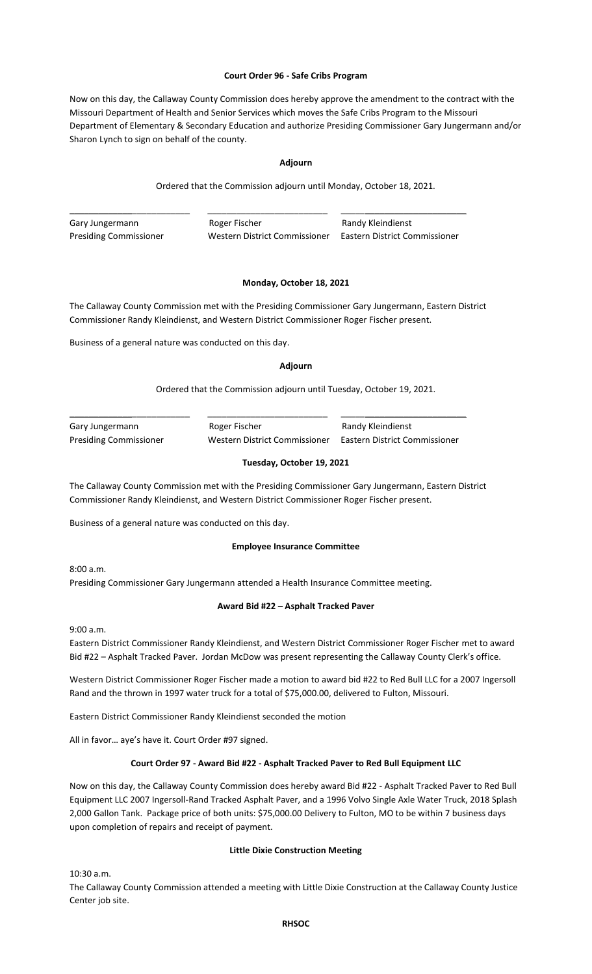## **Court Order 96 - Safe Cribs Program**

Now on this day, the Callaway County Commission does hereby approve the amendment to the contract with the Missouri Department of Health and Senior Services which moves the Safe Cribs Program to the Missouri Department of Elementary & Secondary Education and authorize Presiding Commissioner Gary Jungermann and/or Sharon Lynch to sign on behalf of the county.

## **Adjourn**

Ordered that the Commission adjourn until Monday, October 18, 2021.

\_\_\_\_\_\_\_\_\_\_\_\_\_\_\_\_\_\_\_\_\_\_\_\_\_ \_\_\_\_\_\_\_\_\_\_\_\_\_\_\_\_\_\_\_\_\_\_\_\_\_ \_\_\_\_\_\_\_\_\_\_\_\_\_\_\_\_\_\_\_\_\_\_\_\_\_\_ Gary Jungermann **Roger Fischer** Randy Kleindienst Presiding Commissioner Western District Commissioner Eastern District Commissioner

# **Monday, October 18, 2021**

The Callaway County Commission met with the Presiding Commissioner Gary Jungermann, Eastern District Commissioner Randy Kleindienst, and Western District Commissioner Roger Fischer present.

Business of a general nature was conducted on this day.

#### **Adjourn**

# Ordered that the Commission adjourn until Tuesday, October 19, 2021.

| Gary Jungermann               | Roger Fischer                 | Randy Kleindienst             |
|-------------------------------|-------------------------------|-------------------------------|
| <b>Presiding Commissioner</b> | Western District Commissioner | Eastern District Commissioner |

# **Tuesday, October 19, 2021**

The Callaway County Commission met with the Presiding Commissioner Gary Jungermann, Eastern District Commissioner Randy Kleindienst, and Western District Commissioner Roger Fischer present.

Business of a general nature was conducted on this day.

## **Employee Insurance Committee**

8:00 a.m. Presiding Commissioner Gary Jungermann attended a Health Insurance Committee meeting.

# **Award Bid #22 – Asphalt Tracked Paver**

9:00 a.m.

Eastern District Commissioner Randy Kleindienst, and Western District Commissioner Roger Fischer met to award Bid #22 – Asphalt Tracked Paver. Jordan McDow was present representing the Callaway County Clerk's office.

Western District Commissioner Roger Fischer made a motion to award bid #22 to Red Bull LLC for a 2007 Ingersoll Rand and the thrown in 1997 water truck for a total of \$75,000.00, delivered to Fulton, Missouri.

Eastern District Commissioner Randy Kleindienst seconded the motion

All in favor… aye's have it. Court Order #97 signed.

# **Court Order 97 - Award Bid #22 - Asphalt Tracked Paver to Red Bull Equipment LLC**

Now on this day, the Callaway County Commission does hereby award Bid #22 - Asphalt Tracked Paver to Red Bull Equipment LLC 2007 Ingersoll-Rand Tracked Asphalt Paver, and a 1996 Volvo Single Axle Water Truck, 2018 Splash 2,000 Gallon Tank. Package price of both units: \$75,000.00 Delivery to Fulton, MO to be within 7 business days upon completion of repairs and receipt of payment.

## **Little Dixie Construction Meeting**

10:30 a.m.

The Callaway County Commission attended a meeting with Little Dixie Construction at the Callaway County Justice Center job site.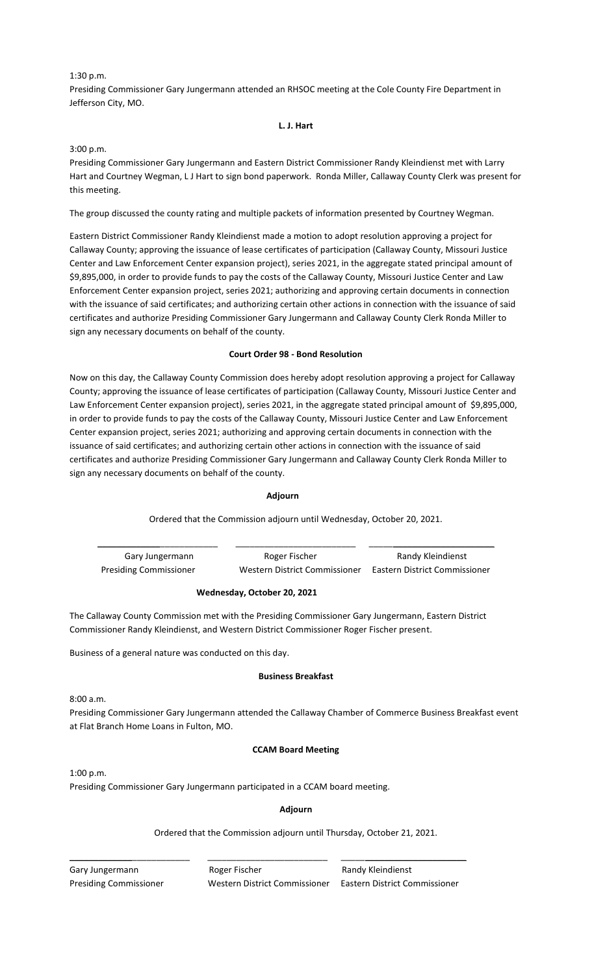### 1:30 p.m.

Presiding Commissioner Gary Jungermann attended an RHSOC meeting at the Cole County Fire Department in Jefferson City, MO.

#### **L. J. Hart**

## 3:00 p.m.

Presiding Commissioner Gary Jungermann and Eastern District Commissioner Randy Kleindienst met with Larry Hart and Courtney Wegman, L J Hart to sign bond paperwork. Ronda Miller, Callaway County Clerk was present for this meeting.

The group discussed the county rating and multiple packets of information presented by Courtney Wegman.

Eastern District Commissioner Randy Kleindienst made a motion to adopt resolution approving a project for Callaway County; approving the issuance of lease certificates of participation (Callaway County, Missouri Justice Center and Law Enforcement Center expansion project), series 2021, in the aggregate stated principal amount of \$9,895,000, in order to provide funds to pay the costs of the Callaway County, Missouri Justice Center and Law Enforcement Center expansion project, series 2021; authorizing and approving certain documents in connection with the issuance of said certificates; and authorizing certain other actions in connection with the issuance of said certificates and authorize Presiding Commissioner Gary Jungermann and Callaway County Clerk Ronda Miller to sign any necessary documents on behalf of the county.

# **Court Order 98 - Bond Resolution**

Now on this day, the Callaway County Commission does hereby adopt resolution approving a project for Callaway County; approving the issuance of lease certificates of participation (Callaway County, Missouri Justice Center and Law Enforcement Center expansion project), series 2021, in the aggregate stated principal amount of \$9,895,000, in order to provide funds to pay the costs of the Callaway County, Missouri Justice Center and Law Enforcement Center expansion project, series 2021; authorizing and approving certain documents in connection with the issuance of said certificates; and authorizing certain other actions in connection with the issuance of said certificates and authorize Presiding Commissioner Gary Jungermann and Callaway County Clerk Ronda Miller to sign any necessary documents on behalf of the county.

## **Adjourn**

Ordered that the Commission adjourn until Wednesday, October 20, 2021.

\_\_\_\_\_\_\_\_\_\_\_\_\_\_\_\_\_\_\_\_\_\_\_\_\_ \_\_\_\_\_\_\_\_\_\_\_\_\_\_\_\_\_\_\_\_\_\_\_\_\_ \_\_\_\_\_\_\_\_\_\_\_\_\_\_\_\_\_\_\_\_\_\_\_\_\_\_

Presiding Commissioner Western District Commissioner Eastern District Commissioner

Gary Jungermann **Roger Fischer** Randy Kleindienst

# **Wednesday, October 20, 2021**

The Callaway County Commission met with the Presiding Commissioner Gary Jungermann, Eastern District Commissioner Randy Kleindienst, and Western District Commissioner Roger Fischer present.

Business of a general nature was conducted on this day.

## **Business Breakfast**

 $8:00 a.m.$ 

Presiding Commissioner Gary Jungermann attended the Callaway Chamber of Commerce Business Breakfast event at Flat Branch Home Loans in Fulton, MO.

## **CCAM Board Meeting**

1:00 p.m. Presiding Commissioner Gary Jungermann participated in a CCAM board meeting.

# **Adjourn**

Ordered that the Commission adjourn until Thursday, October 21, 2021.

Gary Jungermann **Roger Fischer** Randy Kleindienst Presiding Commissioner Western District Commissioner Eastern District Commissioner

\_\_\_\_\_\_\_\_\_\_\_\_\_\_\_\_\_\_\_\_\_\_\_\_\_ \_\_\_\_\_\_\_\_\_\_\_\_\_\_\_\_\_\_\_\_\_\_\_\_\_ \_\_\_\_\_\_\_\_\_\_\_\_\_\_\_\_\_\_\_\_\_\_\_\_\_\_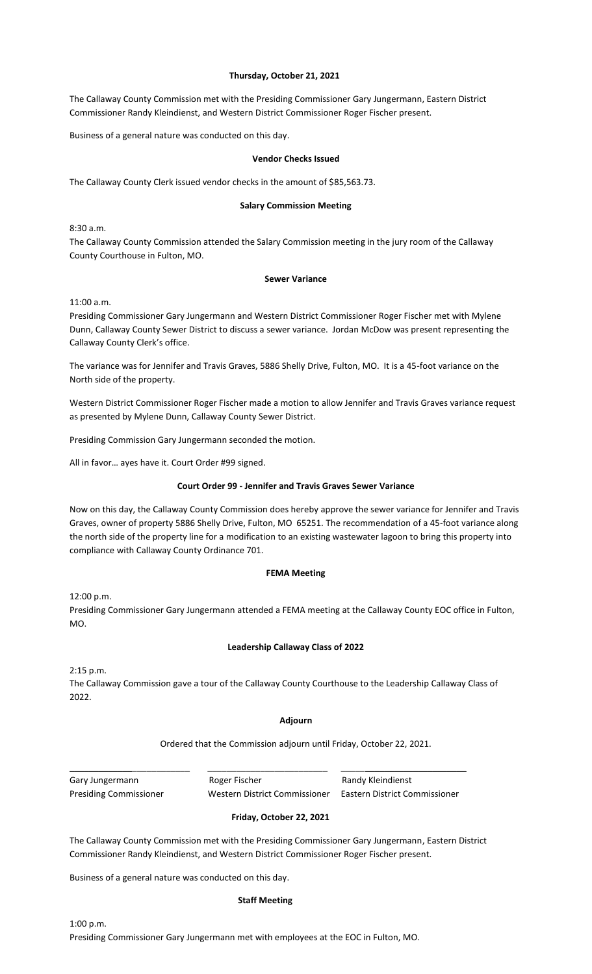## **Thursday, October 21, 2021**

The Callaway County Commission met with the Presiding Commissioner Gary Jungermann, Eastern District Commissioner Randy Kleindienst, and Western District Commissioner Roger Fischer present.

Business of a general nature was conducted on this day.

## **Vendor Checks Issued**

The Callaway County Clerk issued vendor checks in the amount of \$85,563.73.

## **Salary Commission Meeting**

8:30 a.m.

The Callaway County Commission attended the Salary Commission meeting in the jury room of the Callaway County Courthouse in Fulton, MO.

#### **Sewer Variance**

11:00 a.m.

Presiding Commissioner Gary Jungermann and Western District Commissioner Roger Fischer met with Mylene Dunn, Callaway County Sewer District to discuss a sewer variance. Jordan McDow was present representing the Callaway County Clerk's office.

The variance was for Jennifer and Travis Graves, 5886 Shelly Drive, Fulton, MO. It is a 45-foot variance on the North side of the property.

Western District Commissioner Roger Fischer made a motion to allow Jennifer and Travis Graves variance request as presented by Mylene Dunn, Callaway County Sewer District.

Presiding Commission Gary Jungermann seconded the motion.

All in favor… ayes have it. Court Order #99 signed.

## **Court Order 99 - Jennifer and Travis Graves Sewer Variance**

Now on this day, the Callaway County Commission does hereby approve the sewer variance for Jennifer and Travis Graves, owner of property 5886 Shelly Drive, Fulton, MO 65251. The recommendation of a 45-foot variance along the north side of the property line for a modification to an existing wastewater lagoon to bring this property into compliance with Callaway County Ordinance 701.

## **FEMA Meeting**

12:00 p.m.

Presiding Commissioner Gary Jungermann attended a FEMA meeting at the Callaway County EOC office in Fulton, MO.

# **Leadership Callaway Class of 2022**

2:15 p.m.

The Callaway Commission gave a tour of the Callaway County Courthouse to the Leadership Callaway Class of 2022.

## **Adjourn**

Ordered that the Commission adjourn until Friday, October 22, 2021.

Gary Jungermann **Roger Fischer** Randy Kleindienst

Presiding Commissioner Western District Commissioner Eastern District Commissioner

\_\_\_\_\_\_\_\_\_\_\_\_\_\_\_\_\_\_\_\_\_\_\_\_\_ \_\_\_\_\_\_\_\_\_\_\_\_\_\_\_\_\_\_\_\_\_\_\_\_\_ \_\_\_\_\_\_\_\_\_\_\_\_\_\_\_\_\_\_\_\_\_\_\_\_\_\_

## **Friday, October 22, 2021**

The Callaway County Commission met with the Presiding Commissioner Gary Jungermann, Eastern District Commissioner Randy Kleindienst, and Western District Commissioner Roger Fischer present.

Business of a general nature was conducted on this day.

#### **Staff Meeting**

1:00 p.m. Presiding Commissioner Gary Jungermann met with employees at the EOC in Fulton, MO.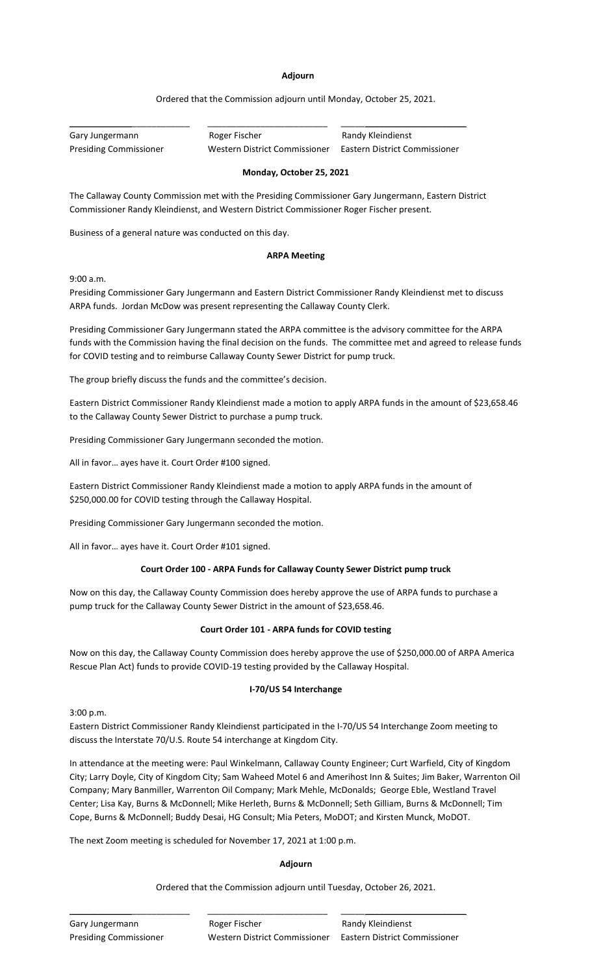## **Adjourn**

# Ordered that the Commission adjourn until Monday, October 25, 2021.

Gary Jungermann **Roger Fischer** Randy Kleindienst

\_\_\_\_\_\_\_\_\_\_\_\_\_\_\_\_\_\_\_\_\_\_\_\_\_ \_\_\_\_\_\_\_\_\_\_\_\_\_\_\_\_\_\_\_\_\_\_\_\_\_ \_\_\_\_\_\_\_\_\_\_\_\_\_\_\_\_\_\_\_\_\_\_\_\_\_\_

Presiding Commissioner Western District Commissioner Eastern District Commissioner

# **Monday, October 25, 2021**

The Callaway County Commission met with the Presiding Commissioner Gary Jungermann, Eastern District Commissioner Randy Kleindienst, and Western District Commissioner Roger Fischer present.

Business of a general nature was conducted on this day.

# **ARPA Meeting**

9:00 a.m.

Presiding Commissioner Gary Jungermann and Eastern District Commissioner Randy Kleindienst met to discuss ARPA funds. Jordan McDow was present representing the Callaway County Clerk.

Presiding Commissioner Gary Jungermann stated the ARPA committee is the advisory committee for the ARPA funds with the Commission having the final decision on the funds. The committee met and agreed to release funds for COVID testing and to reimburse Callaway County Sewer District for pump truck.

The group briefly discuss the funds and the committee's decision.

Eastern District Commissioner Randy Kleindienst made a motion to apply ARPA funds in the amount of \$23,658.46 to the Callaway County Sewer District to purchase a pump truck.

Presiding Commissioner Gary Jungermann seconded the motion.

All in favor… ayes have it. Court Order #100 signed.

Eastern District Commissioner Randy Kleindienst made a motion to apply ARPA funds in the amount of \$250,000.00 for COVID testing through the Callaway Hospital.

Presiding Commissioner Gary Jungermann seconded the motion.

All in favor… ayes have it. Court Order #101 signed.

# **Court Order 100 - ARPA Funds for Callaway County Sewer District pump truck**

Now on this day, the Callaway County Commission does hereby approve the use of ARPA funds to purchase a pump truck for the Callaway County Sewer District in the amount of \$23,658.46.

# **Court Order 101 - ARPA funds for COVID testing**

Now on this day, the Callaway County Commission does hereby approve the use of \$250,000.00 of ARPA America Rescue Plan Act) funds to provide COVID-19 testing provided by the Callaway Hospital.

## **I-70/US 54 Interchange**

3:00 p.m.

Eastern District Commissioner Randy Kleindienst participated in the I-70/US 54 Interchange Zoom meeting to discuss the Interstate 70/U.S. Route 54 interchange at Kingdom City.

In attendance at the meeting were: Paul Winkelmann, Callaway County Engineer; Curt Warfield, City of Kingdom City; Larry Doyle, City of Kingdom City; Sam Waheed Motel 6 and Amerihost Inn & Suites; Jim Baker, Warrenton Oil Company; Mary Banmiller, Warrenton Oil Company; Mark Mehle, McDonalds; George Eble, Westland Travel Center; Lisa Kay, Burns & McDonnell; Mike Herleth, Burns & McDonnell; Seth Gilliam, Burns & McDonnell; Tim Cope, Burns & McDonnell; Buddy Desai, HG Consult; Mia Peters, MoDOT; and Kirsten Munck, MoDOT.

The next Zoom meeting is scheduled for November 17, 2021 at 1:00 p.m.

# **Adjourn**

Ordered that the Commission adjourn until Tuesday, October 26, 2021.

\_\_\_\_\_\_\_\_\_\_\_\_\_\_\_\_\_\_\_\_\_\_\_\_\_ \_\_\_\_\_\_\_\_\_\_\_\_\_\_\_\_\_\_\_\_\_\_\_\_\_ \_\_\_\_\_\_\_\_\_\_\_\_\_\_\_\_\_\_\_\_\_\_\_\_\_\_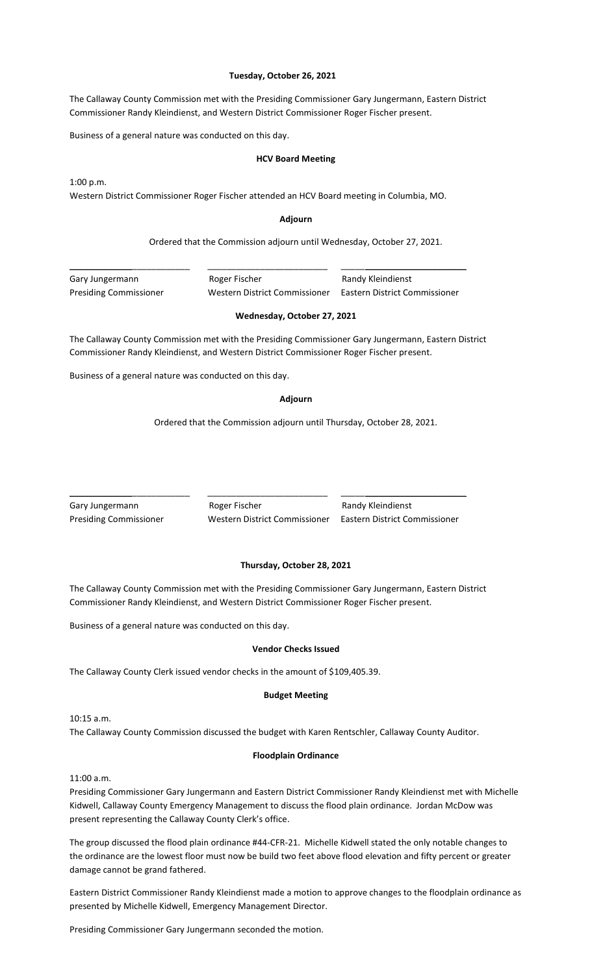#### **Tuesday, October 26, 2021**

The Callaway County Commission met with the Presiding Commissioner Gary Jungermann, Eastern District Commissioner Randy Kleindienst, and Western District Commissioner Roger Fischer present.

Business of a general nature was conducted on this day.

#### **HCV Board Meeting**

1:00 p.m.

Western District Commissioner Roger Fischer attended an HCV Board meeting in Columbia, MO.

#### **Adjourn**

Ordered that the Commission adjourn until Wednesday, October 27, 2021.

Gary Jungermann **Roger Fischer** Randy Kleindienst

\_\_\_\_\_\_\_\_\_\_\_\_\_\_\_\_\_\_\_\_\_\_\_\_\_ \_\_\_\_\_\_\_\_\_\_\_\_\_\_\_\_\_\_\_\_\_\_\_\_\_ \_\_\_\_\_\_\_\_\_\_\_\_\_\_\_\_\_\_\_\_\_\_\_\_\_\_

Presiding Commissioner Western District Commissioner Eastern District Commissioner

## **Wednesday, October 27, 2021**

The Callaway County Commission met with the Presiding Commissioner Gary Jungermann, Eastern District Commissioner Randy Kleindienst, and Western District Commissioner Roger Fischer present.

Business of a general nature was conducted on this day.

#### **Adjourn**

Ordered that the Commission adjourn until Thursday, October 28, 2021.

Gary Jungermann **Roger Fischer** Randy Kleindienst

\_\_\_\_\_\_\_\_\_\_\_\_\_\_\_\_\_\_\_\_\_\_\_\_\_ \_\_\_\_\_\_\_\_\_\_\_\_\_\_\_\_\_\_\_\_\_\_\_\_\_ \_\_\_\_\_\_\_\_\_\_\_\_\_\_\_\_\_\_\_\_\_\_\_\_\_\_

Presiding Commissioner Western District Commissioner Eastern District Commissioner

# **Thursday, October 28, 2021**

The Callaway County Commission met with the Presiding Commissioner Gary Jungermann, Eastern District Commissioner Randy Kleindienst, and Western District Commissioner Roger Fischer present.

Business of a general nature was conducted on this day.

#### **Vendor Checks Issued**

The Callaway County Clerk issued vendor checks in the amount of \$109,405.39.

#### **Budget Meeting**

10:15 a.m.

The Callaway County Commission discussed the budget with Karen Rentschler, Callaway County Auditor.

#### **Floodplain Ordinance**

11:00 a.m.

Presiding Commissioner Gary Jungermann and Eastern District Commissioner Randy Kleindienst met with Michelle Kidwell, Callaway County Emergency Management to discuss the flood plain ordinance. Jordan McDow was present representing the Callaway County Clerk's office.

The group discussed the flood plain ordinance #44-CFR-21. Michelle Kidwell stated the only notable changes to the ordinance are the lowest floor must now be build two feet above flood elevation and fifty percent or greater damage cannot be grand fathered.

Eastern District Commissioner Randy Kleindienst made a motion to approve changes to the floodplain ordinance as presented by Michelle Kidwell, Emergency Management Director.

Presiding Commissioner Gary Jungermann seconded the motion.